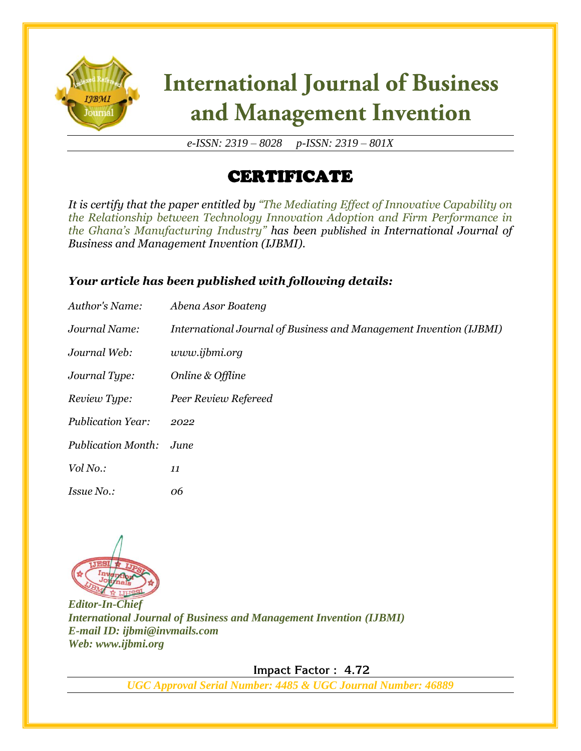

# **International Journal of Business** and Management Invention

*e-ISSN: 2319 – 8028 p-ISSN: 2319 – 801X*

## CERTIFICATE

*It is certify that the paper entitled by "The Mediating Effect of Innovative Capability on the Relationship between Technology Innovation Adoption and Firm Performance in the Ghana's Manufacturing Industry" has been published in International Journal of Business and Management Invention (IJBMI).*

### *Your article has been published with following details:*

| Author's Name:            | Abena Asor Boateng                                                 |
|---------------------------|--------------------------------------------------------------------|
| Journal Name:             | International Journal of Business and Management Invention (IJBMI) |
| Journal Web:              | www.ijbmi.org                                                      |
| Journal Type:             | Online & Offline                                                   |
| Review Type:              | Peer Review Refereed                                               |
| <b>Publication Year:</b>  | 2022                                                               |
| <b>Publication Month:</b> | June                                                               |
| Vol No.:                  | 11                                                                 |
| <i>Issue No.:</i>         | 06                                                                 |



*Editor-In-Chief International Journal of Business and Management Invention (IJBMI) E-mail ID: ijbmi@invmails.com Web: www.ijbmi.org*

 **Impact Factor : 4.72** 

*UGC Approval Serial Number: 4485 & UGC Journal Number: 46889*